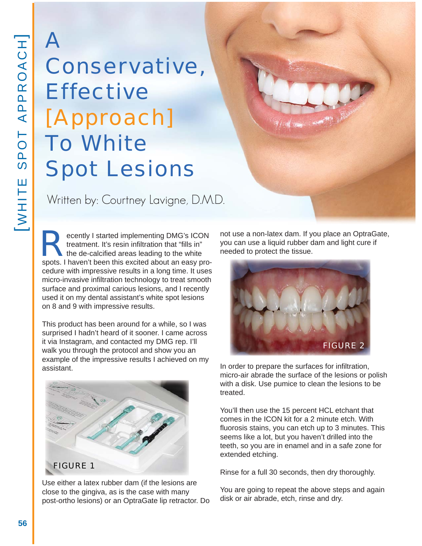## A Conservative, **Effective** [Approach] To White Spot Lesions

Written by: Courtney Lavigne, D.M.D.

Examplementing DMG's ICON<br>treatment. It's resin infiltration that "fills in"<br>the de-calcified areas leading to the white<br>spots. I haven't been this excited about an easy protreatment. It's resin infiltration that "fills in" the de-calcified areas leading to the white spots. I haven't been this excited about an easy procedure with impressive results in a long time. It uses micro-invasive infiltration technology to treat smooth surface and proximal carious lesions, and I recently used it on my dental assistant's white spot lesions on 8 and 9 with impressive results.

This product has been around for a while, so I was surprised I hadn't heard of it sooner. I came across it via Instagram, and contacted my DMG rep. I'll walk you through the protocol and show you an example of the impressive results I achieved on my assistant.



Use either a latex rubber dam (if the lesions are close to the gingiva, as is the case with many post-ortho lesions) or an OptraGate lip retractor. Do not use a non-latex dam. If you place an OptraGate, you can use a liquid rubber dam and light cure if needed to protect the tissue.



In order to prepare the surfaces for infiltration, micro-air abrade the surface of the lesions or polish with a disk. Use pumice to clean the lesions to be treated.

You'll then use the 15 percent HCL etchant that comes in the ICON kit for a 2 minute etch. With fluorosis stains, you can etch up to 3 minutes. This seems like a lot, but you haven't drilled into the teeth, so you are in enamel and in a safe zone for extended etching.

Rinse for a full 30 seconds, then dry thoroughly.

You are going to repeat the above steps and again disk or air abrade, etch, rinse and dry.